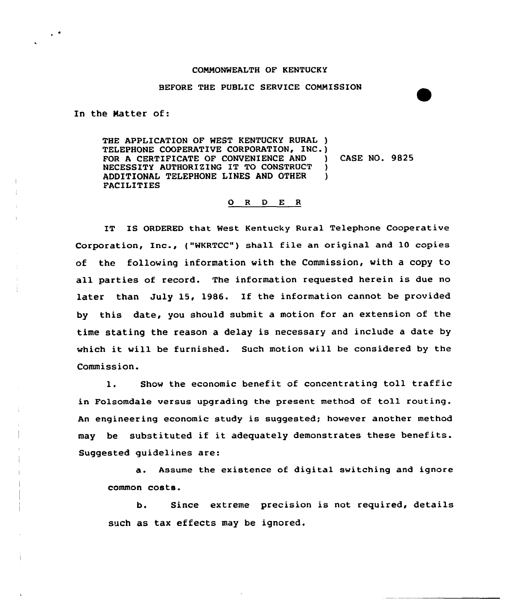## COMMONWEALTH OF KENTUCKY

## BEFORE THE PUBLIC SERVICE COMMISSION

In the Natter of:

THE APPLICATION OF NEST KENTUCKY RURAL ) TELEPHONE COOPERATIVE CORPORATION, INC.)<br>FOR A CERTIFICATE OF CONVENIENCE AND FOR A CERTIFICATE OF CONVENIENCE AND ) CASE NO. 9825 NECESSITY AUTHORIZING IT TO CONSTRUCT )<br>ADDITIONAL TELEPHONE LINES AND OTHER ADDITIONAI TELEPHONE LINES AND OTHER ) FACILITIES

## <sup>O</sup> <sup>R</sup> 0 E <sup>R</sup>

1T IS ORDERED that West Kentucky Rural Telephone Cooperative Corporation, Inc., {"WKRTCC") shall file an original and 10 copies of the following information with the Commission, with a copy to all parties of record. The information requested herein is due no later than July 15, 1986. If the information cannot be provided by this date, you should submit a motion for an extension of the time stating the reason a delay is necessary and include a date by which it will be furnished. Such motion will be considered by the Commission.

1. Show the ecanomic benefit of concentrating toll traffic in Folsomdale versus upgrading the present method of toll routing. An engineering economic study is suggested; however another method may be substituted if it adequately demonstrates these benefits. Suggested guidelines are:

a. Assume the existence of digital switching and ignore common costs.

b, Since extreme precision is not required, details such as tax effects may be ignored.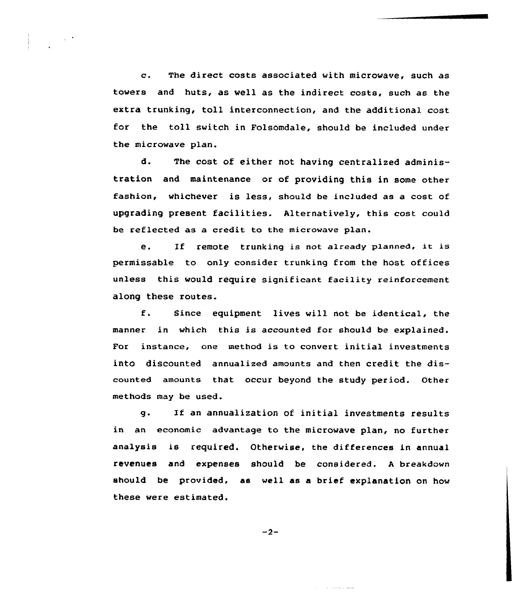c. The direct costs associated with microwave, such as towers and huts, as well as the indirect costs, such as the extra trunking, toll interconnection, and the additional cost for the toll switch in Folsomdale, should be included under the microwave plan.

d. The cost of either not having centralized administration and maintenance or of providing this in some other fashion, whichever is less, should be included as a cost of upgrading present facilities. Alternatively, this cost could be reflected as a credit to the microwave plan.

e. If remote trunking is not a1ready p1anned, it is permissable to only consider trunking from the host offices unless this would require significant facility reinforcement along these routes.

f. Since equipment lives will not be identical, the manner in which this is accounted for should be explained. For instance, one method is to convert initial investments into discounted annualized amounts and then credit the discounted amounts that occur beyond the study period. Other methods may be used.

g. If an annualization of initial investments results in an economic advantage to the microwave plan, no further analysis is required. Otherwise, the differences in annual revenues and expenses should be considered. <sup>A</sup> breakdown should be provided, as well as a brief explanation on how these were estimated.

 $-2-$ 

ستساء المحدود الدار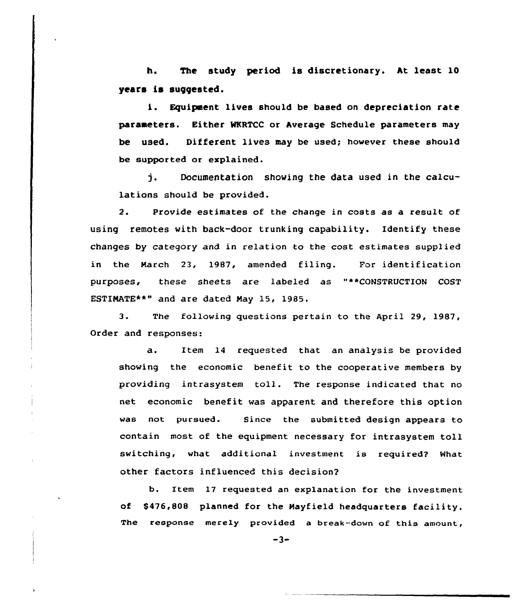h. The study period is discretionary. ht least 10 years is suggested.

i. Equipment lives should be based on depreciation rate parameters. Either MKRTCC or Average Schedule parameters may be used. Different lives may be used; however these should be supported or explained.

j. Documentation showing the data used in the calculations should be provided.

2. Provide estimates of the change in costs as a result of using remotes with back-door trunking capability. Identify these changes by category and in relation to the cost estimates supplied in the March 23, 1987, amended filing. For identification purposes, these sheets are labeled as "\*\*CONSTRUCTION COST ESTIMATE\*\*" and are dated May 15, 1985.

3. The following questions pertain to the April 29, 1987, Order and responses:

a. Item 14 requested that an analysis be provided showing the economic benefit to the cooperative members by providing intrasystem toll. The response indicated that no net economic benefit was apparent and therefore this option was not pursued. Since the submitted design appears to contain most of the equipment necessary for intrasystem toll switching, what additional investment is required? What other factors influenced this decision?

b. Item 17 requested an explanation for the investment of \$476,808 planned for the Hayfield headquarters facility. The response merely provided a break-down of this amount,

 $-3-$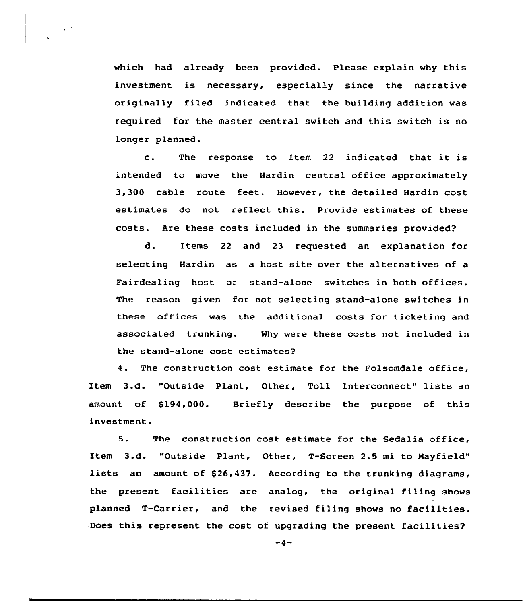which had already been provided. Please explain why this investment is necessary, especially since the narrative originally filed indicated that the building addition was required for the master central switch and this switch is no longer planned.

c. The response to Item <sup>22</sup> indicated that it is intended to move the Hardin central office approximately 3,300 cable route feet. However, the detailed Hardin cost estimates do not reflect this. Provide estimates of these costs. Are these costs included in the summaries provided?

d. Items 22 and 23 requested an explanation for selecting Hardin as a host site over the alternatives of a Fairdealing host or stand-alone switches in both offices. The reason given for not selecting stand-alone switches in these offices was the additional costs for ticketing and associated trunking. Why were these costs not included in the stand-alone cost estimates?

4. The construction cost estimate for the Folsomdale office, Item 3.d. "Outside Plant, Other, Toll Interconnect" lists an amount of \$194,000. Briefly describe the purpose of this investment.

5. The construction cost estimate for the Sedalia office, Item 3.d. "Outside Plant, Other, T-Screen 2.5 mi to Hayfield" lists an amount of \$26,437. According to the trunking diagrams, the present facilities are analog, the original filing shows planned T-Carrier, and the revised filing shows no facilities. Does this represent the cost of upgrading the present facilities?

 $-4-$